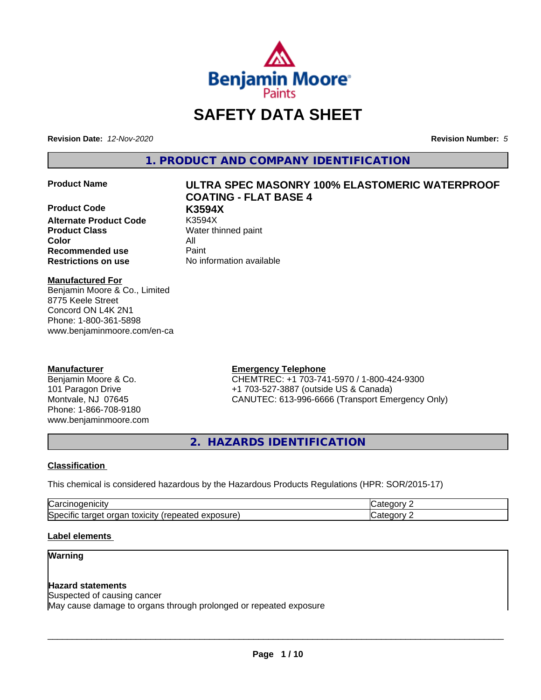

# **SAFETY DATA SHEET**

**Revision Date:** *12-Nov-2020* **Revision Number:** *5*

**1. PRODUCT AND COMPANY IDENTIFICATION**

**Product Code K3594X Alternate Product Code Product Class** Water thinned paint **Color** All **Recommended use** Paint **Restrictions on use** No information available

# **Product Name ULTRA SPEC MASONRY 100% ELASTOMERIC WATERPROOF COATING - FLAT BASE 4**

#### **Manufactured For**

Benjamin Moore & Co., Limited 8775 Keele Street Concord ON L4K 2N1 Phone: 1-800-361-5898 www.benjaminmoore.com/en-ca

#### **Manufacturer**

Benjamin Moore & Co. 101 Paragon Drive Montvale, NJ 07645 Phone: 1-866-708-9180 www.benjaminmoore.com

#### **Emergency Telephone**

CHEMTREC: +1 703-741-5970 / 1-800-424-9300 +1 703-527-3887 (outside US & Canada) CANUTEC: 613-996-6666 (Transport Emergency Only)

**2. HAZARDS IDENTIFICATION**

#### **Classification**

This chemical is considered hazardous by the Hazardous Products Regulations (HPR: SOR/2015-17)

| ∽<br>$   -$<br>Na                                                                                        | ---- |  |
|----------------------------------------------------------------------------------------------------------|------|--|
| .<br>∽<br>osure<br>target<br>toxicity<br>organ<br>.<br>-----<br>lSner<br>™nea…<br>эню<br>ن تص<br>.<br>ех |      |  |

#### **Label elements**

#### **Warning**

#### **Hazard statements**

Suspected of causing cancer

May cause damage to organs through prolonged or repeated exposure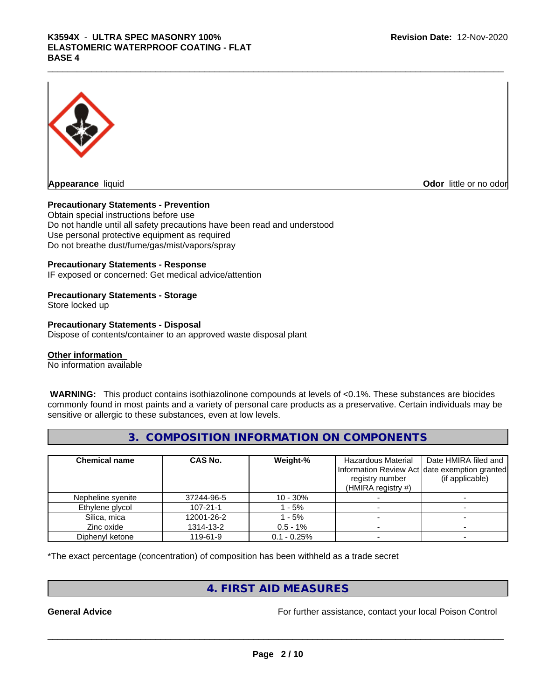# K3594X - ULTRA SPEC MASONRY 100%<br>ELASTOMERIC WATERPROOF COATING - FLAT<br>BASE 4 **ELASTOMERIC WATERPROOF COATING - FLAT BASE 4**



**Appearance** liquid **CODO** *Appearance liquid* **Odor**  *CODO CODO* **<b>***CODO CODO CODO CODO CODO CODO CODO CODO CODO CODO CODO CODO CODO CODO CODO CODO CODO* 

#### **Precautionary Statements - Prevention**

Obtain special instructions before use Do not handle until all safety precautions have been read and understood Use personal protective equipment as required Do not breathe dust/fume/gas/mist/vapors/spray

#### **Precautionary Statements - Response**

IF exposed or concerned: Get medical advice/attention

### **Precautionary Statements - Storage**

Store locked up

#### **Precautionary Statements - Disposal**

Dispose of contents/container to an approved waste disposal plant

#### **Other information**

No information available

 **WARNING:** This product contains isothiazolinone compounds at levels of <0.1%. These substances are biocides commonly found in most paints and a variety of personal care products as a preservative. Certain individuals may be sensitive or allergic to these substances, even at low levels.

#### **3. COMPOSITION INFORMATION ON COMPONENTS**

| <b>Chemical name</b> | CAS No.        | Weight-%      | Hazardous Material<br>registry number<br>(HMIRA registry $#$ ) | Date HMIRA filed and<br>Information Review Act date exemption granted<br>(if applicable) |
|----------------------|----------------|---------------|----------------------------------------------------------------|------------------------------------------------------------------------------------------|
| Nepheline syenite    | 37244-96-5     | $10 - 30%$    |                                                                |                                                                                          |
| Ethylene glycol      | $107 - 21 - 1$ | - 5%          |                                                                |                                                                                          |
| Silica, mica         | 12001-26-2     | - 5%          |                                                                |                                                                                          |
| Zinc oxide           | 1314-13-2      | $0.5 - 1\%$   |                                                                |                                                                                          |
| Diphenyl ketone      | 119-61-9       | $0.1 - 0.25%$ |                                                                |                                                                                          |

\*The exact percentage (concentration) of composition has been withheld as a trade secret

### **4. FIRST AID MEASURES**

**General Advice** For further assistance, contact your local Poison Control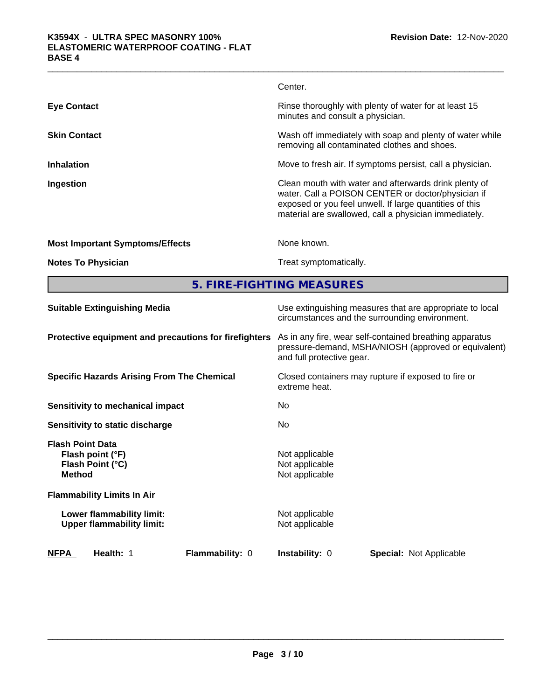|                                                                                  | Center.                                                                                                                                                                                                                         |
|----------------------------------------------------------------------------------|---------------------------------------------------------------------------------------------------------------------------------------------------------------------------------------------------------------------------------|
| <b>Eye Contact</b>                                                               | Rinse thoroughly with plenty of water for at least 15<br>minutes and consult a physician.                                                                                                                                       |
| <b>Skin Contact</b>                                                              | Wash off immediately with soap and plenty of water while<br>removing all contaminated clothes and shoes.                                                                                                                        |
| <b>Inhalation</b>                                                                | Move to fresh air. If symptoms persist, call a physician.                                                                                                                                                                       |
| Ingestion                                                                        | Clean mouth with water and afterwards drink plenty of<br>water. Call a POISON CENTER or doctor/physician if<br>exposed or you feel unwell. If large quantities of this<br>material are swallowed, call a physician immediately. |
| <b>Most Important Symptoms/Effects</b>                                           | None known.                                                                                                                                                                                                                     |
| <b>Notes To Physician</b>                                                        | Treat symptomatically.                                                                                                                                                                                                          |
|                                                                                  | 5. FIRE-FIGHTING MEASURES                                                                                                                                                                                                       |
| <b>Suitable Extinguishing Media</b>                                              | Use extinguishing measures that are appropriate to local<br>circumstances and the surrounding environment.                                                                                                                      |
| Protective equipment and precautions for firefighters                            | As in any fire, wear self-contained breathing apparatus<br>pressure-demand, MSHA/NIOSH (approved or equivalent)<br>and full protective gear.                                                                                    |
| <b>Specific Hazards Arising From The Chemical</b>                                | Closed containers may rupture if exposed to fire or<br>extreme heat.                                                                                                                                                            |
| Sensitivity to mechanical impact                                                 | No                                                                                                                                                                                                                              |
| Sensitivity to static discharge                                                  | No                                                                                                                                                                                                                              |
| <b>Flash Point Data</b><br>Flash point (°F)<br>Flash Point (°C)<br><b>Method</b> | Not applicable<br>Not applicable<br>Not applicable                                                                                                                                                                              |
| <b>Flammability Limits In Air</b>                                                |                                                                                                                                                                                                                                 |
| Lower flammability limit:<br><b>Upper flammability limit:</b>                    | Not applicable<br>Not applicable                                                                                                                                                                                                |
|                                                                                  |                                                                                                                                                                                                                                 |

**NFPA Health:** 1 **Flammability:** 0 **Instability:** 0

 $\overline{\phantom{a}}$  ,  $\overline{\phantom{a}}$  ,  $\overline{\phantom{a}}$  ,  $\overline{\phantom{a}}$  ,  $\overline{\phantom{a}}$  ,  $\overline{\phantom{a}}$  ,  $\overline{\phantom{a}}$  ,  $\overline{\phantom{a}}$  ,  $\overline{\phantom{a}}$  ,  $\overline{\phantom{a}}$  ,  $\overline{\phantom{a}}$  ,  $\overline{\phantom{a}}$  ,  $\overline{\phantom{a}}$  ,  $\overline{\phantom{a}}$  ,  $\overline{\phantom{a}}$  ,  $\overline{\phantom{a}}$ 

**Special:** Not Applicable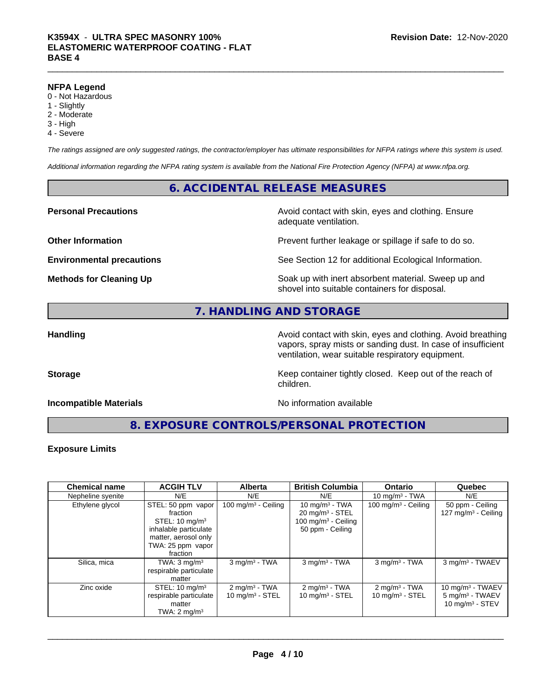#### **NFPA Legend**

- 0 Not Hazardous
- 1 Slightly
- 2 Moderate
- 3 High
- 4 Severe

*The ratings assigned are only suggested ratings, the contractor/employer has ultimate responsibilities for NFPA ratings where this system is used.*

*Additional information regarding the NFPA rating system is available from the National Fire Protection Agency (NFPA) at www.nfpa.org.*

### **6. ACCIDENTAL RELEASE MEASURES**

#### **Personal Precautions Avoid contact with skin, eyes and clothing. Ensure** Avoid contact with skin, eyes and clothing. Ensure

**Other Information Discription Prevent further leakage or spillage if safe to do so.** 

**Environmental precautions** See Section 12 for additional Ecological Information.

**Methods for Cleaning Up Example 20 Soak** up with inert absorbent material. Sweep up and shovel into suitable containers for disposal.

### **7. HANDLING AND STORAGE**

**Handling Handling Avoid contact with skin, eyes and clothing. Avoid breathing Handling Avoid breathing Avoid breathing** vapors, spray mists or sanding dust. In case of insufficient ventilation, wear suitable respiratory equipment.

**Storage Keep container tightly closed. Keep out of the reach of Keep** container tightly closed. Keep out of the reach of

#### **Incompatible Materials** Noinformation available

adequate ventilation.

**8. EXPOSURE CONTROLS/PERSONAL PROTECTION**

children.

#### **Exposure Limits**

| <b>Chemical name</b> | <b>ACGIH TLV</b>                                                                                                                              | <b>Alberta</b>                                            | <b>British Columbia</b>                                                                                | <b>Ontario</b>                                | Quebec                                                                   |
|----------------------|-----------------------------------------------------------------------------------------------------------------------------------------------|-----------------------------------------------------------|--------------------------------------------------------------------------------------------------------|-----------------------------------------------|--------------------------------------------------------------------------|
| Nepheline syenite    | N/E                                                                                                                                           | N/E                                                       | N/E                                                                                                    | 10 mg/m $3$ - TWA                             | N/E                                                                      |
| Ethylene glycol      | STEL: 50 ppm vapor<br>fraction<br>STEL: $10 \text{ mg/m}^3$<br>inhalable particulate<br>matter, aerosol only<br>TWA: 25 ppm vapor<br>fraction | 100 mg/m <sup>3</sup> - Ceiling                           | 10 mg/m $3$ - TWA<br>$20 \text{ mg/m}^3$ - STEL<br>100 mg/m <sup>3</sup> - Ceiling<br>50 ppm - Ceiling | 100 mg/m $3$ - Ceiling                        | 50 ppm - Ceiling<br>127 mg/m $3$ - Ceiling                               |
| Silica, mica         | TWA: $3 \text{ mg/m}^3$<br>respirable particulate<br>matter                                                                                   | $3$ mg/m <sup>3</sup> - TWA                               | $3$ mg/m <sup>3</sup> - TWA                                                                            | $3$ mg/m <sup>3</sup> - TWA                   | 3 mg/m <sup>3</sup> - TWAEV                                              |
| Zinc oxide           | STEL: $10 \text{ mg/m}^3$<br>respirable particulate<br>matter<br>TWA: $2 \text{ mq/m}^3$                                                      | $2$ mg/m <sup>3</sup> - TWA<br>$10 \text{ mg/m}^3$ - STEL | $2$ mg/m <sup>3</sup> - TWA<br>$10 \text{ mg/m}^3$ - STEL                                              | $2 \text{mq/m}^3$ - TWA<br>10 mg/m $3 -$ STEL | 10 mg/m $3$ - TWAEV<br>5 mg/m <sup>3</sup> - TWAEV<br>10 $mq/m^3$ - STEV |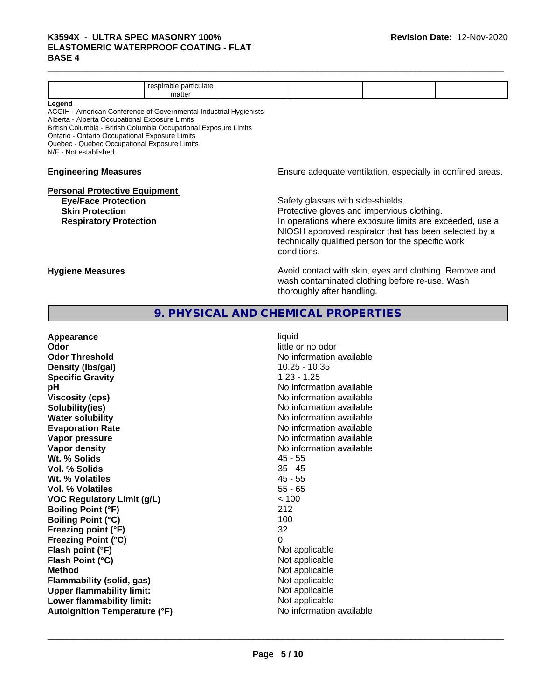# K3594X - ULTRA SPEC MASONRY 100%<br>ELASTOMERIC WATERPROOF COATING - FLAT<br>BASE 4 **ELASTOMERIC WATERPROOF COATING - FLAT BASE 4**

|                                                                                                | respirable particulate<br>matter |  |                                                            |  |  |  |  |
|------------------------------------------------------------------------------------------------|----------------------------------|--|------------------------------------------------------------|--|--|--|--|
| Legend                                                                                         |                                  |  |                                                            |  |  |  |  |
| ACGIH - American Conference of Governmental Industrial Hygienists                              |                                  |  |                                                            |  |  |  |  |
| Alberta - Alberta Occupational Exposure Limits                                                 |                                  |  |                                                            |  |  |  |  |
| British Columbia - British Columbia Occupational Exposure Limits                               |                                  |  |                                                            |  |  |  |  |
| Ontario - Ontario Occupational Exposure Limits<br>Quebec - Quebec Occupational Exposure Limits |                                  |  |                                                            |  |  |  |  |
| N/E - Not established                                                                          |                                  |  |                                                            |  |  |  |  |
|                                                                                                |                                  |  |                                                            |  |  |  |  |
| <b>Engineering Measures</b>                                                                    |                                  |  | Ensure adequate ventilation, especially in confined areas. |  |  |  |  |
|                                                                                                |                                  |  |                                                            |  |  |  |  |
| <b>Personal Protective Equipment</b>                                                           |                                  |  |                                                            |  |  |  |  |
| <b>Eye/Face Protection</b>                                                                     |                                  |  | Safety glasses with side-shields.                          |  |  |  |  |
| <b>Skin Protection</b>                                                                         |                                  |  | Protective gloves and impervious clothing.                 |  |  |  |  |
| <b>Respiratory Protection</b>                                                                  |                                  |  | In operations where exposure limits are exceeded, use a    |  |  |  |  |
|                                                                                                |                                  |  | NIOSH approved respirator that has been selected by a      |  |  |  |  |
|                                                                                                |                                  |  | technically qualified person for the specific work         |  |  |  |  |
|                                                                                                |                                  |  | conditions.                                                |  |  |  |  |
|                                                                                                |                                  |  |                                                            |  |  |  |  |
| <b>Hygiene Measures</b>                                                                        |                                  |  | Avoid contact with skin, eyes and clothing. Remove and     |  |  |  |  |
|                                                                                                |                                  |  | wash contaminated clothing before re-use. Wash             |  |  |  |  |
|                                                                                                |                                  |  | thoroughly after handling.                                 |  |  |  |  |
|                                                                                                |                                  |  |                                                            |  |  |  |  |
|                                                                                                |                                  |  |                                                            |  |  |  |  |

# **9. PHYSICAL AND CHEMICAL PROPERTIES**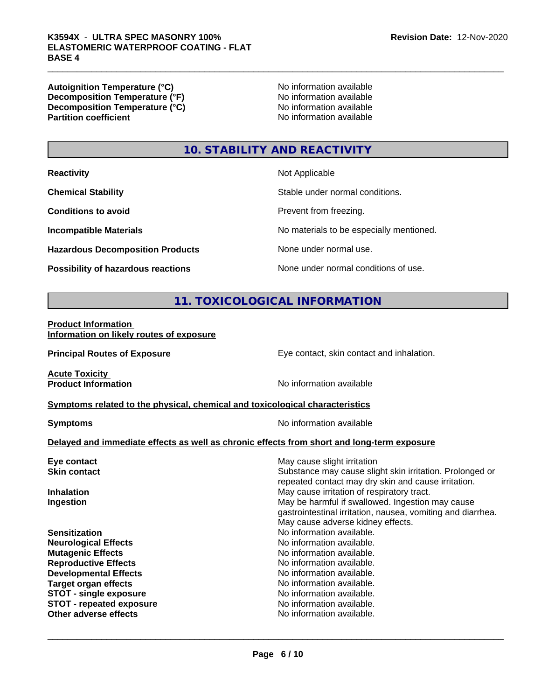**Autoignition Temperature (°C)**<br> **Decomposition Temperature (°F)** No information available **Decomposition Temperature (°F)**<br> **Decomposition Temperature (°C)**<br>
No information available **Decomposition Temperature (°C)**<br>Partition coefficient

**No information available** 

## **10. STABILITY AND REACTIVITY**

| <b>Reactivity</b> |  |
|-------------------|--|
|-------------------|--|

**Hazardous Decomposition Products** None under normal use.

**Not Applicable** 

**Chemical Stability Chemical Stability** Stable under normal conditions.

**Conditions to avoid Prevent from freezing.** 

**Incompatible Materials No materials** No materials to be especially mentioned.

**Possibility of hazardous reactions** None under normal conditions of use.

# **11. TOXICOLOGICAL INFORMATION**

**Product Information Information on likely routes of exposure**

**Principal Routes of Exposure Exposure** Eye contact, skin contact and inhalation.

**Acute Toxicity<br>Product Information** 

**No information available** 

**<u>Symptoms related to the physical, chemical and toxicological characteristics</u>** 

**Symptoms** No information available

 $\overline{\phantom{a}}$  ,  $\overline{\phantom{a}}$  ,  $\overline{\phantom{a}}$  ,  $\overline{\phantom{a}}$  ,  $\overline{\phantom{a}}$  ,  $\overline{\phantom{a}}$  ,  $\overline{\phantom{a}}$  ,  $\overline{\phantom{a}}$  ,  $\overline{\phantom{a}}$  ,  $\overline{\phantom{a}}$  ,  $\overline{\phantom{a}}$  ,  $\overline{\phantom{a}}$  ,  $\overline{\phantom{a}}$  ,  $\overline{\phantom{a}}$  ,  $\overline{\phantom{a}}$  ,  $\overline{\phantom{a}}$ 

#### **Delayed and immediate effects as well as chronic effects from short and long-term exposure**

| Eye contact                     | May cause slight irritation                                                                                     |  |  |  |
|---------------------------------|-----------------------------------------------------------------------------------------------------------------|--|--|--|
| <b>Skin contact</b>             | Substance may cause slight skin irritation. Prolonged or<br>repeated contact may dry skin and cause irritation. |  |  |  |
| <b>Inhalation</b>               | May cause irritation of respiratory tract.                                                                      |  |  |  |
| Ingestion                       | May be harmful if swallowed. Ingestion may cause<br>gastrointestinal irritation, nausea, vomiting and diarrhea. |  |  |  |
|                                 | May cause adverse kidney effects.                                                                               |  |  |  |
| <b>Sensitization</b>            | No information available.                                                                                       |  |  |  |
| <b>Neurological Effects</b>     | No information available.                                                                                       |  |  |  |
| <b>Mutagenic Effects</b>        | No information available.                                                                                       |  |  |  |
| <b>Reproductive Effects</b>     | No information available.                                                                                       |  |  |  |
| <b>Developmental Effects</b>    | No information available.                                                                                       |  |  |  |
| <b>Target organ effects</b>     | No information available.                                                                                       |  |  |  |
| <b>STOT - single exposure</b>   | No information available.                                                                                       |  |  |  |
| <b>STOT - repeated exposure</b> | No information available.                                                                                       |  |  |  |
| Other adverse effects           | No information available.                                                                                       |  |  |  |
|                                 |                                                                                                                 |  |  |  |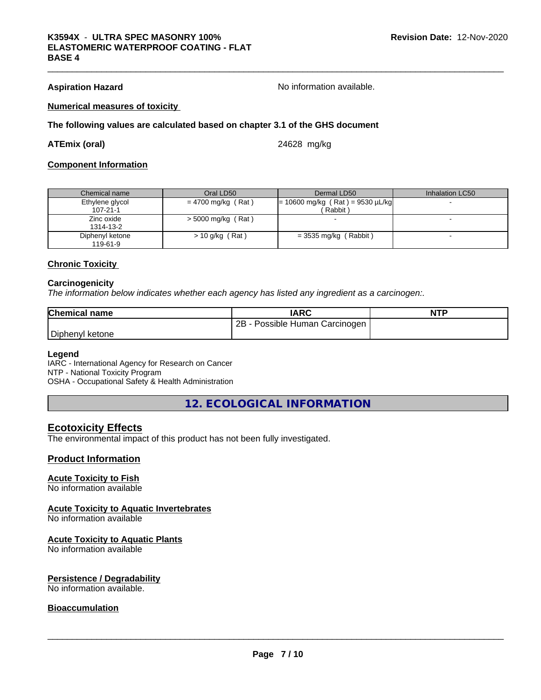**Aspiration Hazard Aspiration Hazard No information available.** 

#### **Numerical measures of toxicity**

#### **The following values are calculated based on chapter 3.1 of the GHS document**

#### **ATEmix (oral)** 24628 mg/kg

#### **Component Information**

| Chemical name   | Oral LD50            | Dermal LD50                        | Inhalation LC50 |
|-----------------|----------------------|------------------------------------|-----------------|
| Ethylene glycol | $= 4700$ mg/kg (Rat) | $= 10600$ mg/kg (Rat) = 9530 µL/kg |                 |
| $107 - 21 - 1$  |                      | Rabbit)                            |                 |
| Zinc oxide      | $>$ 5000 mg/kg (Rat) |                                    |                 |
| 1314-13-2       |                      |                                    |                 |
| Diphenyl ketone | $> 10$ g/kg (Rat)    | $=$ 3535 mg/kg (Rabbit)            |                 |
| 119-61-9        |                      |                                    |                 |

#### **Chronic Toxicity**

#### **Carcinogenicity**

*The information below indicateswhether each agency has listed any ingredient as a carcinogen:.*

| <b>Chemical name</b> | <b>IARC</b>                     | <b>NTP</b> |
|----------------------|---------------------------------|------------|
|                      | 2B<br>Possible Human Carcinogen |            |
| Diphenyl ketone      |                                 |            |

#### **Legend**

IARC - International Agency for Research on Cancer NTP - National Toxicity Program OSHA - Occupational Safety & Health Administration

**12. ECOLOGICAL INFORMATION**

#### **Ecotoxicity Effects**

The environmental impact of this product has not been fully investigated.

#### **Product Information**

#### **Acute Toxicity to Fish**

No information available

#### **Acute Toxicity to Aquatic Invertebrates**

No information available

#### **Acute Toxicity to Aquatic Plants**

No information available

#### **Persistence / Degradability**

No information available.

#### **Bioaccumulation**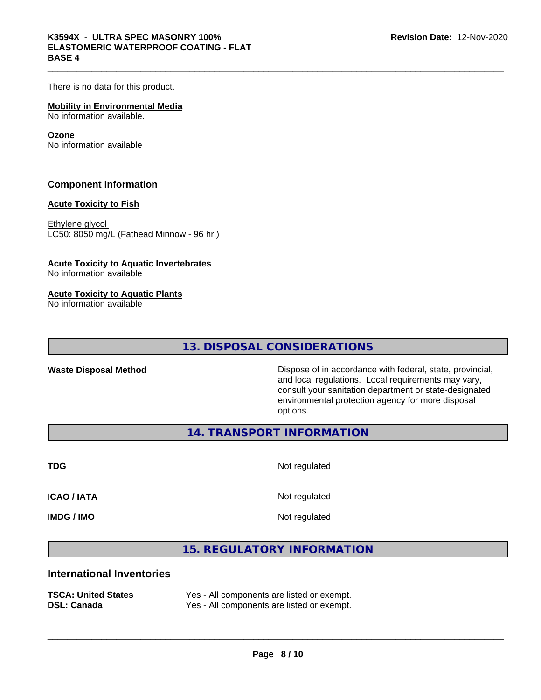# K3594X - ULTRA SPEC MASONRY 100%<br>ELASTOMERIC WATERPROOF COATING - FLAT<br>BASE 4 **ELASTOMERIC WATERPROOF COATING - FLAT BASE 4**

There is no data for this product.

#### **Mobility in Environmental Media** No information available.

#### **Ozone**

No information available

#### **Component Information**

#### **Acute Toxicity to Fish**

Ethylene glycol LC50: 8050 mg/L (Fathead Minnow - 96 hr.)

#### **Acute Toxicity to Aquatic Invertebrates**

No information available

#### **Acute Toxicity to Aquatic Plants**

No information available

**13. DISPOSAL CONSIDERATIONS**

**Waste Disposal Method** Dispose of in accordance with federal, state, provincial, and local regulations. Local requirements may vary, consult your sanitation department or state-designated environmental protection agency for more disposal options.

**14. TRANSPORT INFORMATION**

**TDG** Not regulated

**ICAO / IATA** Not regulated

**IMDG / IMO** Not regulated

 $\overline{\phantom{a}}$  ,  $\overline{\phantom{a}}$  ,  $\overline{\phantom{a}}$  ,  $\overline{\phantom{a}}$  ,  $\overline{\phantom{a}}$  ,  $\overline{\phantom{a}}$  ,  $\overline{\phantom{a}}$  ,  $\overline{\phantom{a}}$  ,  $\overline{\phantom{a}}$  ,  $\overline{\phantom{a}}$  ,  $\overline{\phantom{a}}$  ,  $\overline{\phantom{a}}$  ,  $\overline{\phantom{a}}$  ,  $\overline{\phantom{a}}$  ,  $\overline{\phantom{a}}$  ,  $\overline{\phantom{a}}$ 

### **15. REGULATORY INFORMATION**

### **International Inventories**

| <b>TSCA: United States</b> | Yes - All components are listed or exempt. |
|----------------------------|--------------------------------------------|
| <b>DSL: Canada</b>         | Yes - All components are listed or exempt. |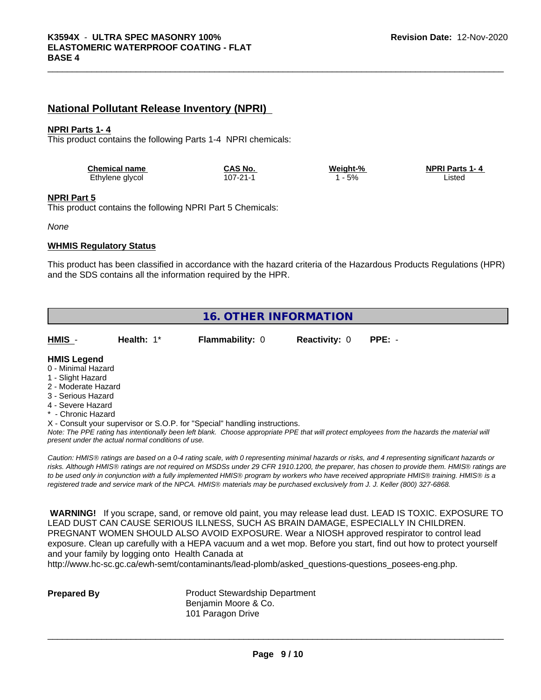## **National Pollutant Release Inventory (NPRI)**

#### **NPRI Parts 1- 4**

This product contains the following Parts 1-4 NPRI chemicals:

| <b>Chemical name</b> | CAS No         | Weight-% | <b>NPRI Parts 1-4</b> |
|----------------------|----------------|----------|-----------------------|
| Ethylene glycol      | $107 - 21 - 1$ | 5%       | _istec                |

#### **NPRI Part 5**

This product contains the following NPRI Part 5 Chemicals:

*None*

#### **WHMIS Regulatory Status**

This product has been classified in accordance with the hazard criteria of the Hazardous Products Regulations (HPR) and the SDS contains all the information required by the HPR.

| <b>16. OTHER INFORMATION</b> |                                                    |                                                                            |                      |                                                                                                                                                                                                                                                                                                |  |  |
|------------------------------|----------------------------------------------------|----------------------------------------------------------------------------|----------------------|------------------------------------------------------------------------------------------------------------------------------------------------------------------------------------------------------------------------------------------------------------------------------------------------|--|--|
| HMIS -                       | Health: $1^*$                                      | <b>Flammability: 0</b>                                                     | <b>Reactivity: 0</b> | $PPE: -$                                                                                                                                                                                                                                                                                       |  |  |
| <b>HMIS Legend</b>           |                                                    |                                                                            |                      |                                                                                                                                                                                                                                                                                                |  |  |
| 0 - Minimal Hazard           |                                                    |                                                                            |                      |                                                                                                                                                                                                                                                                                                |  |  |
| 1 - Slight Hazard            |                                                    |                                                                            |                      |                                                                                                                                                                                                                                                                                                |  |  |
| 2 - Moderate Hazard          |                                                    |                                                                            |                      |                                                                                                                                                                                                                                                                                                |  |  |
| 3 - Serious Hazard           |                                                    |                                                                            |                      |                                                                                                                                                                                                                                                                                                |  |  |
| 4 - Severe Hazard            |                                                    |                                                                            |                      |                                                                                                                                                                                                                                                                                                |  |  |
| * - Chronic Hazard           |                                                    |                                                                            |                      |                                                                                                                                                                                                                                                                                                |  |  |
|                              |                                                    | X - Consult your supervisor or S.O.P. for "Special" handling instructions. |                      |                                                                                                                                                                                                                                                                                                |  |  |
|                              | present under the actual normal conditions of use. |                                                                            |                      | Note: The PPE rating has intentionally been left blank. Choose appropriate PPE that will protect employees from the hazards the material will                                                                                                                                                  |  |  |
|                              |                                                    |                                                                            |                      | Caution: HMIS® ratings are based on a 0-4 rating scale, with 0 representing minimal hazards or risks, and 4 representing significant hazards or<br>risks. Although HMIS® ratings are not required on MSDSs under 29 CFR 1910.1200, the preparer, has chosen to provide them. HMIS® ratings are |  |  |

*risks. Although HMISÒ ratings are not required on MSDSs under 29 CFR 1910.1200, the preparer, has chosen to provide them. HMISÒ ratings are to be used only in conjunction with a fully implemented HMISÒ program by workers who have received appropriate HMISÒ training. HMISÒ is a registered trade and service mark of the NPCA. HMISÒ materials may be purchased exclusively from J. J. Keller (800) 327-6868.*

 **WARNING!** If you scrape, sand, or remove old paint, you may release lead dust. LEAD IS TOXIC. EXPOSURE TO LEAD DUST CAN CAUSE SERIOUS ILLNESS, SUCH AS BRAIN DAMAGE, ESPECIALLY IN CHILDREN. PREGNANT WOMEN SHOULD ALSO AVOID EXPOSURE.Wear a NIOSH approved respirator to control lead exposure. Clean up carefully with a HEPA vacuum and a wet mop. Before you start, find out how to protect yourself and your family by logging onto Health Canada at

http://www.hc-sc.gc.ca/ewh-semt/contaminants/lead-plomb/asked\_questions-questions\_posees-eng.php.

**Prepared By** Product Stewardship Department Benjamin Moore & Co. 101 Paragon Drive